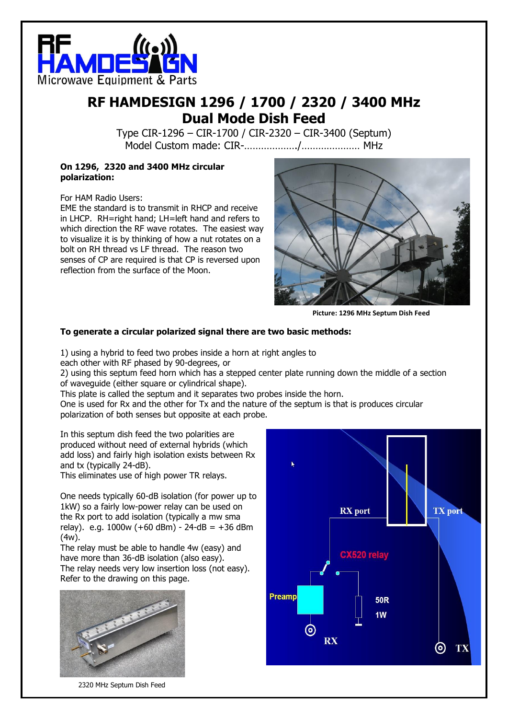

### **RF HAMDESIGN 1296 / 1700 / 2320 / 3400 MHz Dual Mode Dish Feed**

Type CIR-1296 – CIR-1700 / CIR-2320 – CIR-3400 (Septum) Model Custom made: CIR-………………./………………… MHz

#### **On 1296, 2320 and 3400 MHz circular polarization:**

For HAM Radio Users:

EME the standard is to transmit in RHCP and receive in LHCP. RH=right hand; LH=left hand and refers to which direction the RF wave rotates. The easiest way to visualize it is by thinking of how a nut rotates on a bolt on RH thread vs LF thread. The reason two senses of CP are required is that CP is reversed upon reflection from the surface of the Moon.



**Picture: 1296 MHz Septum Dish Feed**

#### **To generate a circular polarized signal there are two basic methods:**

1) using a hybrid to feed two probes inside a horn at right angles to

each other with RF phased by 90-degrees, or

2) using this septum feed horn which has a stepped center plate running down the middle of a section of waveguide (either square or cylindrical shape).

This plate is called the septum and it separates two probes inside the horn.

One is used for Rx and the other for Tx and the nature of the septum is that is produces circular polarization of both senses but opposite at each probe.

In this septum dish feed the two polarities are produced without need of external hybrids (which add loss) and fairly high isolation exists between Rx and tx (typically 24-dB).

This eliminates use of high power TR relays.

One needs typically 60-dB isolation (for power up to 1kW) so a fairly low-power relay can be used on the Rx port to add isolation (typically a mw sma relay). e.g.  $1000w (+60 dBm) - 24 dB = +36 dBm$ (4w).

The relay must be able to handle 4w (easy) and have more than 36-dB isolation (also easy). The relay needs very low insertion loss (not easy). Refer to the drawing on this page.



2320 MHz Septum Dish Feed

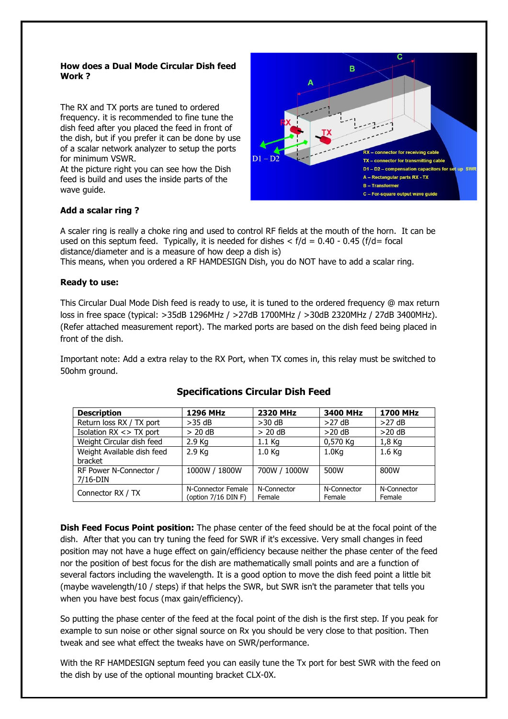#### **How does a Dual Mode Circular Dish feed Work ?**

The RX and TX ports are tuned to ordered frequency. it is recommended to fine tune the dish feed after you placed the feed in front of the dish, but if you prefer it can be done by use of a scalar network analyzer to setup the ports for minimum VSWR.

At the picture right you can see how the Dish feed is build and uses the inside parts of the wave guide.



#### **Add a scalar ring ?**

A scaler ring is really a choke ring and used to control RF fields at the mouth of the horn. It can be used on this septum feed. Typically, it is needed for dishes  $\langle f/d = 0.40 - 0.45 f/d =$  focal distance/diameter and is a measure of how deep a dish is)

This means, when you ordered a RF HAMDESIGN Dish, you do NOT have to add a scalar ring.

#### **Ready to use:**

This Circular Dual Mode Dish feed is ready to use, it is tuned to the ordered frequency @ max return loss in free space (typical: >35dB 1296MHz / >27dB 1700MHz / >30dB 2320MHz / 27dB 3400MHz). (Refer attached measurement report). The marked ports are based on the dish feed being placed in front of the dish.

Important note: Add a extra relay to the RX Port, when TX comes in, this relay must be switched to 50ohm ground.

| <b>Description</b>                    | <b>1296 MHz</b>                           | <b>2320 MHz</b>       | 3400 MHz              | <b>1700 MHz</b>       |
|---------------------------------------|-------------------------------------------|-----------------------|-----------------------|-----------------------|
| Return loss RX / TX port              | $>35$ dB                                  | $>30$ dB              | $>27$ dB              | >27 dB                |
| Isolation $RX \leq$ TX port           | $> 20$ dB                                 | $> 20$ dB             | $>20$ dB              | $>20$ dB              |
| Weight Circular dish feed             | $2.9$ Kg                                  | 1.1 Kg                | 0,570 Kg              | 1,8 Kg                |
| Weight Available dish feed<br>bracket | $2.9$ Kg                                  | 1.0 <sub>Kq</sub>     | 1.0 <sub>Kq</sub>     | $1.6$ Kg              |
| RF Power N-Connector /<br>7/16-DIN    | 1000W / 1800W                             | 700W / 1000W          | 500W                  | 800W                  |
| Connector RX / TX                     | N-Connector Female<br>(option 7/16 DIN F) | N-Connector<br>Female | N-Connector<br>Female | N-Connector<br>Female |

#### **Specifications Circular Dish Feed**

**Dish Feed Focus Point position:** The phase center of the feed should be at the focal point of the dish. After that you can try tuning the feed for SWR if it's excessive. Very small changes in feed position may not have a huge effect on gain/efficiency because neither the phase center of the feed nor the position of best focus for the dish are mathematically small points and are a function of several factors including the wavelength. It is a good option to move the dish feed point a little bit (maybe wavelength/10 / steps) if that helps the SWR, but SWR isn't the parameter that tells you when you have best focus (max gain/efficiency).

So putting the phase center of the feed at the focal point of the dish is the first step. If you peak for example to sun noise or other signal source on Rx you should be very close to that position. Then tweak and see what effect the tweaks have on SWR/performance.

With the RF HAMDESIGN septum feed you can easily tune the Tx port for best SWR with the feed on the dish by use of the optional mounting bracket CLX-0X.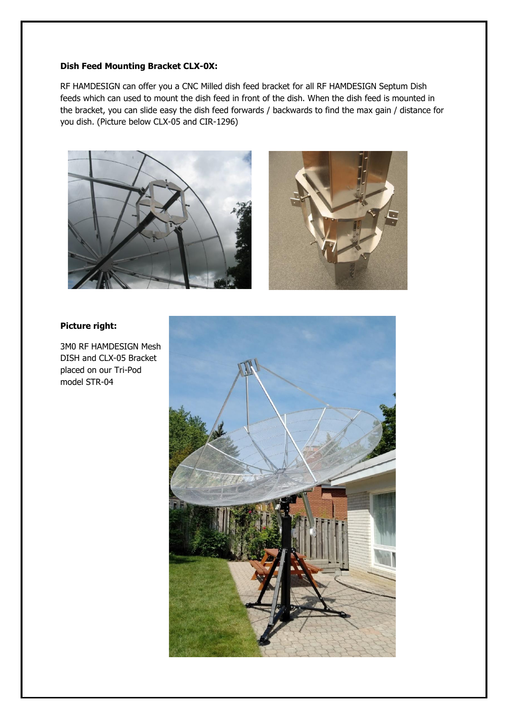#### **Dish Feed Mounting Bracket CLX-0X:**

RF HAMDESIGN can offer you a CNC Milled dish feed bracket for all RF HAMDESIGN Septum Dish feeds which can used to mount the dish feed in front of the dish. When the dish feed is mounted in the bracket, you can slide easy the dish feed forwards / backwards to find the max gain / distance for you dish. (Picture below CLX-05 and CIR-1296)





#### **Picture right:**

3M0 RF HAMDESIGN Mesh DISH and CLX-05 Bracket placed on our Tri-Pod model STR-04